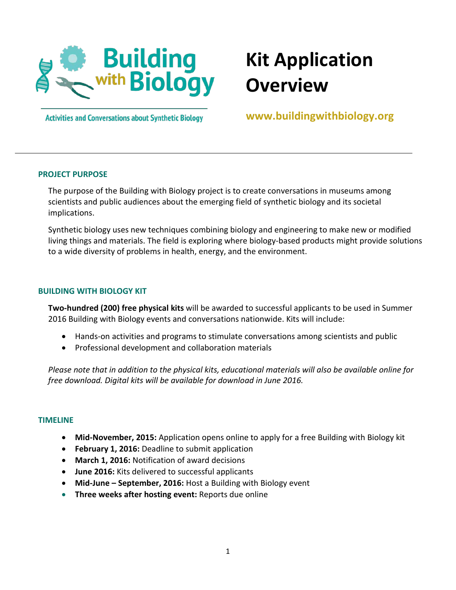

# **Kit Application Overview**

**Activities and Conversations about Synthetic Biology** 

**www.buildingwithbiology.org**

# **PROJECT PURPOSE**

The purpose of the Building with Biology project is to create conversations in museums among scientists and public audiences about the emerging field of synthetic biology and its societal implications.

Synthetic biology uses new techniques combining biology and engineering to make new or modified living things and materials. The field is exploring where biology-based products might provide solutions to a wide diversity of problems in health, energy, and the environment.

# **BUILDING WITH BIOLOGY KIT**

**Two-hundred (200) free physical kits** will be awarded to successful applicants to be used in Summer 2016 Building with Biology events and conversations nationwide. Kits will include:

- Hands-on activities and programs to stimulate conversations among scientists and public
- Professional development and collaboration materials

*Please note that in addition to the physical kits, educational materials will also be available online for free download. Digital kits will be available for download in June 2016.*

#### **TIMELINE**

- **Mid-November, 2015:** Application opens online to apply for a free Building with Biology kit
- **February 1, 2016:** Deadline to submit application
- **March 1, 2016:** Notification of award decisions
- **June 2016:** Kits delivered to successful applicants
- **Mid-June – September, 2016:** Host a Building with Biology event
- **Three weeks after hosting event:** Reports due online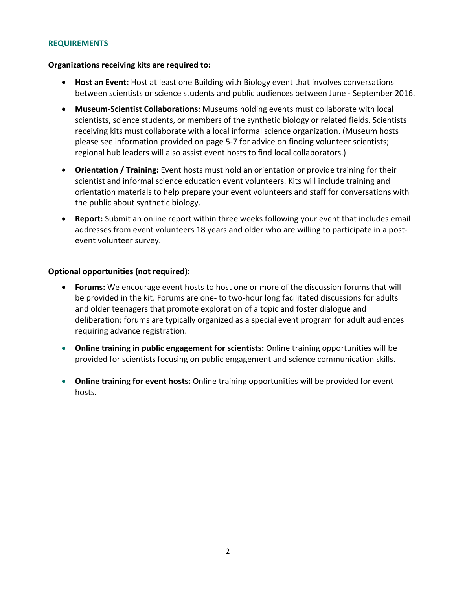# **REQUIREMENTS**

# **Organizations receiving kits are required to:**

- **Host an Event:** Host at least one Building with Biology event that involves conversations between scientists or science students and public audiences between June - September 2016.
- **Museum-Scientist Collaborations:** Museums holding events must collaborate with local scientists, science students, or members of the synthetic biology or related fields. Scientists receiving kits must collaborate with a local informal science organization. (Museum hosts please see information provided on page 5-7 for advice on finding volunteer scientists; regional hub leaders will also assist event hosts to find local collaborators.)
- **Orientation / Training:** Event hosts must hold an orientation or provide training for their scientist and informal science education event volunteers. Kits will include training and orientation materials to help prepare your event volunteers and staff for conversations with the public about synthetic biology.
- **Report:** Submit an online report within three weeks following your event that includes email addresses from event volunteers 18 years and older who are willing to participate in a postevent volunteer survey.

## **Optional opportunities (not required):**

- **Forums:** We encourage event hosts to host one or more of the discussion forums that will be provided in the kit. Forums are one- to two-hour long facilitated discussions for adults and older teenagers that promote exploration of a topic and foster dialogue and deliberation; forums are typically organized as a special event program for adult audiences requiring advance registration.
- **Online training in public engagement for scientists:** Online training opportunities will be provided for scientists focusing on public engagement and science communication skills.
- **Online training for event hosts:** Online training opportunities will be provided for event hosts.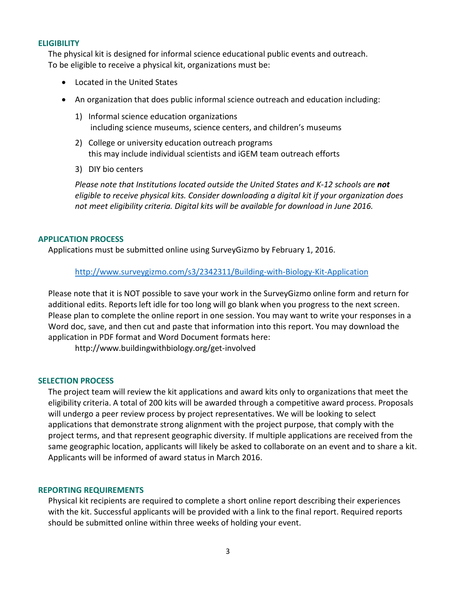# **ELIGIBILITY**

The physical kit is designed for informal science educational public events and outreach. To be eligible to receive a physical kit, organizations must be:

- Located in the United States
- An organization that does public informal science outreach and education including:
	- 1) Informal science education organizations including science museums, science centers, and children's museums
	- 2) College or university education outreach programs this may include individual scientists and iGEM team outreach efforts
	- 3) DIY bio centers

*Please note that Institutions located outside the United States and K-12 schools are not eligible to receive physical kits. Consider downloading a digital kit if your organization does not meet eligibility criteria. Digital kits will be available for download in June 2016.*

## **APPLICATION PROCESS**

Applications must be submitted online using SurveyGizmo by February 1, 2016.

<http://www.surveygizmo.com/s3/2342311/Building-with-Biology-Kit-Application>

Please note that it is NOT possible to save your work in the SurveyGizmo online form and return for additional edits. Reports left idle for too long will go blank when you progress to the next screen. Please plan to complete the online report in one session. You may want to write your responses in a Word doc, save, and then cut and paste that information into this report. You may download the application in PDF format and Word Document formats here:

http://www.buildingwithbiology.org/get-involved

#### **SELECTION PROCESS**

The project team will review the kit applications and award kits only to organizations that meet the eligibility criteria. A total of 200 kits will be awarded through a competitive award process. Proposals will undergo a peer review process by project representatives. We will be looking to select applications that demonstrate strong alignment with the project purpose, that comply with the project terms, and that represent geographic diversity. If multiple applications are received from the same geographic location, applicants will likely be asked to collaborate on an event and to share a kit. Applicants will be informed of award status in March 2016.

#### **REPORTING REQUIREMENTS**

Physical kit recipients are required to complete a short online report describing their experiences with the kit. Successful applicants will be provided with a link to the final report. Required reports should be submitted online within three weeks of holding your event.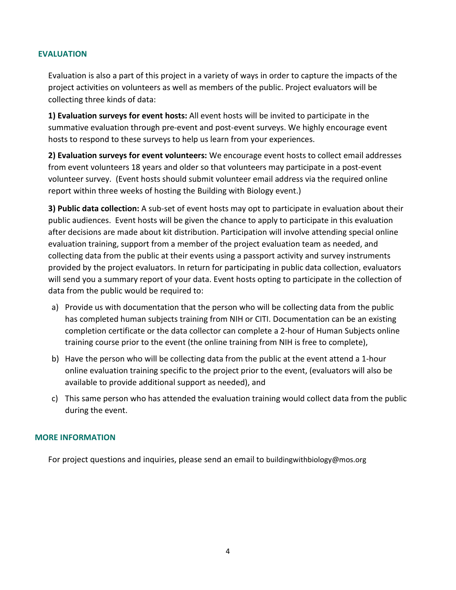## **EVALUATION**

Evaluation is also a part of this project in a variety of ways in order to capture the impacts of the project activities on volunteers as well as members of the public. Project evaluators will be collecting three kinds of data:

**1) Evaluation surveys for event hosts:** All event hosts will be invited to participate in the summative evaluation through pre-event and post-event surveys. We highly encourage event hosts to respond to these surveys to help us learn from your experiences.

**2) Evaluation surveys for event volunteers:** We encourage event hosts to collect email addresses from event volunteers 18 years and older so that volunteers may participate in a post-event volunteer survey. (Event hosts should submit volunteer email address via the required online report within three weeks of hosting the Building with Biology event.)

**3) Public data collection:** A sub-set of event hosts may opt to participate in evaluation about their public audiences. Event hosts will be given the chance to apply to participate in this evaluation after decisions are made about kit distribution. Participation will involve attending special online evaluation training, support from a member of the project evaluation team as needed, and collecting data from the public at their events using a passport activity and survey instruments provided by the project evaluators. In return for participating in public data collection, evaluators will send you a summary report of your data. Event hosts opting to participate in the collection of data from the public would be required to:

- a) Provide us with documentation that the person who will be collecting data from the public has completed human subjects training from NIH or CITI. Documentation can be an existing completion certificate or the data collector can complete a 2-hour of Human Subjects online training course prior to the event (the online training from NIH is free to complete),
- b) Have the person who will be collecting data from the public at the event attend a 1-hour online evaluation training specific to the project prior to the event, (evaluators will also be available to provide additional support as needed), and
- c) This same person who has attended the evaluation training would collect data from the public during the event.

#### **MORE INFORMATION**

For project questions and inquiries, please send an email to buildingwithbiology@mos.org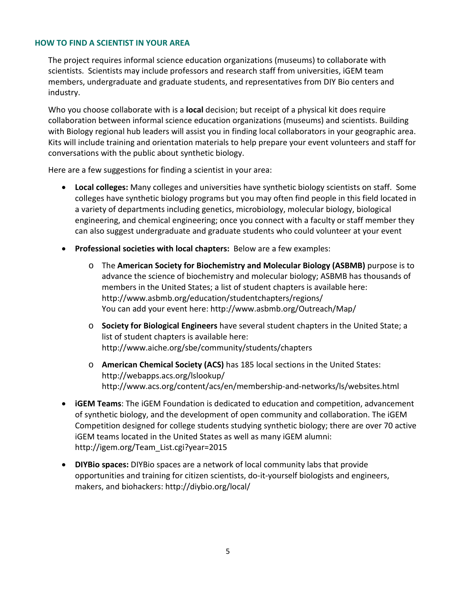# **HOW TO FIND A SCIENTIST IN YOUR AREA**

The project requires informal science education organizations (museums) to collaborate with scientists. Scientists may include professors and research staff from universities, iGEM team members, undergraduate and graduate students, and representatives from DIY Bio centers and industry.

Who you choose collaborate with is a **local** decision; but receipt of a physical kit does require collaboration between informal science education organizations (museums) and scientists. Building with Biology regional hub leaders will assist you in finding local collaborators in your geographic area. Kits will include training and orientation materials to help prepare your event volunteers and staff for conversations with the public about synthetic biology.

Here are a few suggestions for finding a scientist in your area:

- **Local colleges:** Many colleges and universities have synthetic biology scientists on staff. Some colleges have synthetic biology programs but you may often find people in this field located in a variety of departments including genetics, microbiology, molecular biology, biological engineering, and chemical engineering; once you connect with a faculty or staff member they can also suggest undergraduate and graduate students who could volunteer at your event
- **Professional societies with local chapters:** Below are a few examples:
	- o The **American Society for Biochemistry and Molecular Biology (ASBMB)** purpose is to advance the science of biochemistry and molecular biology; ASBMB has thousands of members in the United States; a list of student chapters is available here: http://www.asbmb.org/education/studentchapters/regions/ You can add your event here: http://www.asbmb.org/Outreach/Map/
	- o **Society for Biological Engineers** have several student chapters in the United State; a list of student chapters is available here: http://www.aiche.org/sbe/community/students/chapters
	- o **American Chemical Society (ACS)** has 185 local sections in the United States: http://webapps.acs.org/lslookup/ http://www.acs.org/content/acs/en/membership-and-networks/ls/websites.html
- **iGEM Teams**: The iGEM Foundation is dedicated to education and competition, advancement of synthetic biology, and the development of open community and collaboration. The iGEM Competition designed for college students studying synthetic biology; there are over 70 active iGEM teams located in the United States as well as many iGEM alumni: http://igem.org/Team\_List.cgi?year=2015
- **DIYBio spaces:** DIYBio spaces are a network of local community labs that provide opportunities and training for citizen scientists, do-it-yourself biologists and engineers, makers, and biohackers: http://diybio.org/local/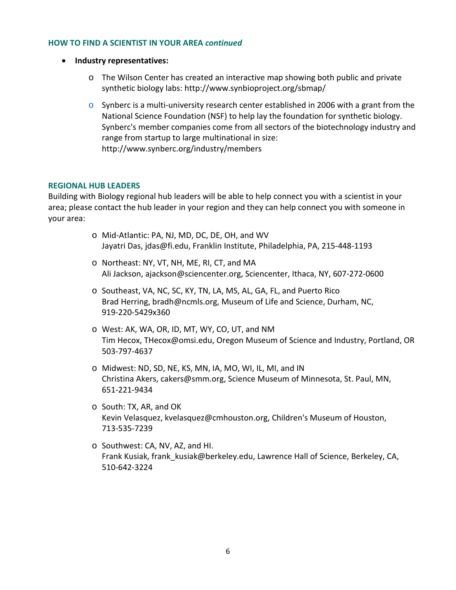# **HOW TO FIND A SCIENTIST IN YOUR AREA** *continued*

- **Industry representatives:**
	- o The Wilson Center has created an interactive map showing both public and private synthetic biology labs: http://www.synbioproject.org/sbmap/
	- $\circ$  Synberc is a multi-university research center established in 2006 with a grant from the National Science Foundation (NSF) to help lay the foundation for synthetic biology. Synberc's member companies come from all sectors of the biotechnology industry and range from startup to large multinational in size: http://www.synberc.org/industry/members

## **REGIONAL HUB LEADERS**

Building with Biology regional hub leaders will be able to help connect you with a scientist in your area; please contact the hub leader in your region and they can help connect you with someone in your area:

- o Mid-Atlantic: PA, NJ, MD, DC, DE, OH, and WV Jayatri Das, jdas@fi.edu, Franklin Institute, Philadelphia, PA, 215-448-1193
- o Northeast: NY, VT, NH, ME, RI, CT, and MA Ali Jackson, ajackson@sciencenter.org, Sciencenter, Ithaca, NY, 607-272-0600
- o Southeast, VA, NC, SC, KY, TN, LA, MS, AL, GA, FL, and Puerto Rico Brad Herring, bradh@ncmls.org, Museum of Life and Science, Durham, NC, 919-220-5429x360
- o West: AK, WA, OR, ID, MT, WY, CO, UT, and NM Tim Hecox, THecox@omsi.edu, Oregon Museum of Science and Industry, Portland, OR 503-797-4637
- o Midwest: ND, SD, NE, KS, MN, IA, MO, WI, IL, MI, and IN Christina Akers, cakers@smm.org, Science Museum of Minnesota, St. Paul, MN, 651-221-9434
- o South: TX, AR, and OK Kevin Velasquez, kvelasquez@cmhouston.org, Children's Museum of Houston, 713-535-7239
- o Southwest: CA, NV, AZ, and HI. Frank Kusiak, frank\_kusiak@berkeley.edu, Lawrence Hall of Science, Berkeley, CA, 510-642-3224